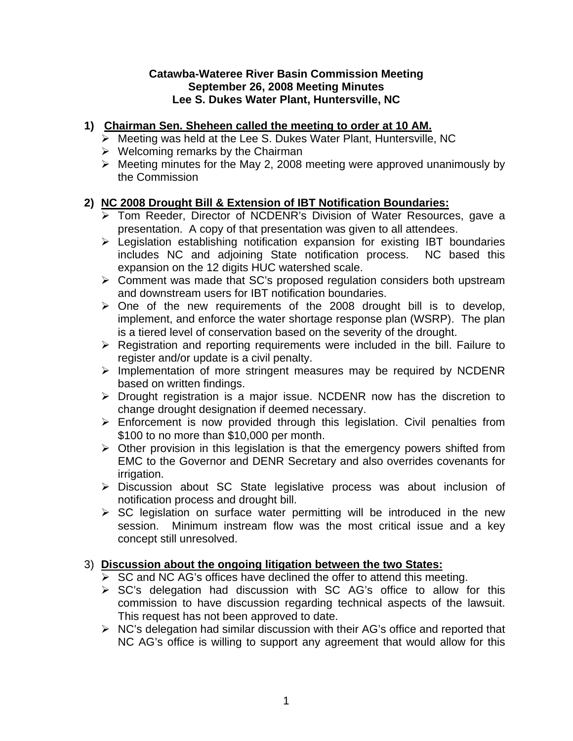#### **Catawba-Wateree River Basin Commission Meeting September 26, 2008 Meeting Minutes Lee S. Dukes Water Plant, Huntersville, NC**

## **1) Chairman Sen. Sheheen called the meeting to order at 10 AM.**

- $\triangleright$  Meeting was held at the Lee S. Dukes Water Plant, Huntersville, NC
- $\triangleright$  Welcoming remarks by the Chairman
- $\triangleright$  Meeting minutes for the May 2, 2008 meeting were approved unanimously by the Commission

# **2) NC 2008 Drought Bill & Extension of IBT Notification Boundaries:**

- ¾ Tom Reeder, Director of NCDENR's Division of Water Resources, gave a presentation. A copy of that presentation was given to all attendees.
- $\triangleright$  Legislation establishing notification expansion for existing IBT boundaries includes NC and adjoining State notification process. NC based this expansion on the 12 digits HUC watershed scale.
- $\triangleright$  Comment was made that SC's proposed regulation considers both upstream and downstream users for IBT notification boundaries.
- $\geq$  One of the new requirements of the 2008 drought bill is to develop, implement, and enforce the water shortage response plan (WSRP). The plan is a tiered level of conservation based on the severity of the drought.
- $\triangleright$  Registration and reporting requirements were included in the bill. Failure to register and/or update is a civil penalty.
- ¾ Implementation of more stringent measures may be required by NCDENR based on written findings.
- ¾ Drought registration is a major issue. NCDENR now has the discretion to change drought designation if deemed necessary.
- $\triangleright$  Enforcement is now provided through this legislation. Civil penalties from \$100 to no more than \$10,000 per month.
- $\triangleright$  Other provision in this legislation is that the emergency powers shifted from EMC to the Governor and DENR Secretary and also overrides covenants for irrigation.
- ¾ Discussion about SC State legislative process was about inclusion of notification process and drought bill.
- $\triangleright$  SC legislation on surface water permitting will be introduced in the new session. Minimum instream flow was the most critical issue and a key concept still unresolved.

## 3) **Discussion about the ongoing litigation between the two States:**

- $\triangleright$  SC and NC AG's offices have declined the offer to attend this meeting.
- $\triangleright$  SC's delegation had discussion with SC AG's office to allow for this commission to have discussion regarding technical aspects of the lawsuit. This request has not been approved to date.
- $\triangleright$  NC's delegation had similar discussion with their AG's office and reported that NC AG's office is willing to support any agreement that would allow for this